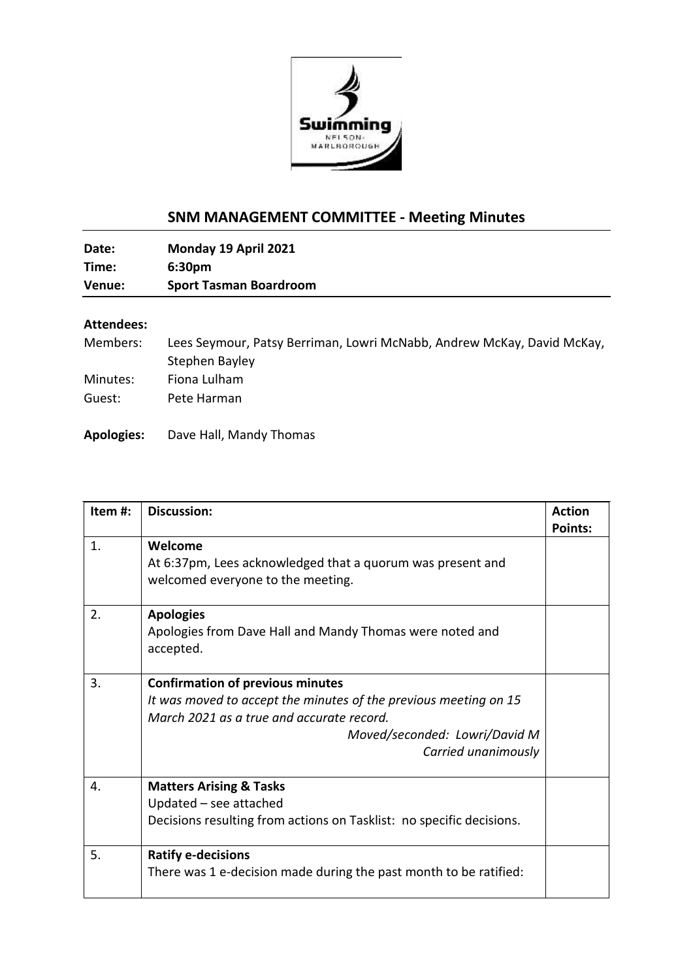

## **SNM MANAGEMENT COMMITTEE - Meeting Minutes**

**Date: Monday 19 April 2021 Time: 6:30pm Venue: Sport Tasman Boardroom**

## **Attendees:**

| Lees Seymour, Patsy Berriman, Lowri McNabb, Andrew McKay, David McKay, |
|------------------------------------------------------------------------|
| Stephen Bayley                                                         |
| Fiona Lulham                                                           |
| Pete Harman                                                            |
|                                                                        |

**Apologies:** Dave Hall, Mandy Thomas

| Item#:         | <b>Discussion:</b>                                                                                                                                                                                               | <b>Action</b><br><b>Points:</b> |
|----------------|------------------------------------------------------------------------------------------------------------------------------------------------------------------------------------------------------------------|---------------------------------|
| $\mathbf{1}$ . | Welcome<br>At 6:37pm, Lees acknowledged that a quorum was present and<br>welcomed everyone to the meeting.                                                                                                       |                                 |
| 2.             | <b>Apologies</b><br>Apologies from Dave Hall and Mandy Thomas were noted and<br>accepted.                                                                                                                        |                                 |
| 3.             | <b>Confirmation of previous minutes</b><br>It was moved to accept the minutes of the previous meeting on 15<br>March 2021 as a true and accurate record.<br>Moved/seconded: Lowri/David M<br>Carried unanimously |                                 |
| 4.             | <b>Matters Arising &amp; Tasks</b><br>Updated - see attached<br>Decisions resulting from actions on Tasklist: no specific decisions.                                                                             |                                 |
| 5.             | <b>Ratify e-decisions</b><br>There was 1 e-decision made during the past month to be ratified:                                                                                                                   |                                 |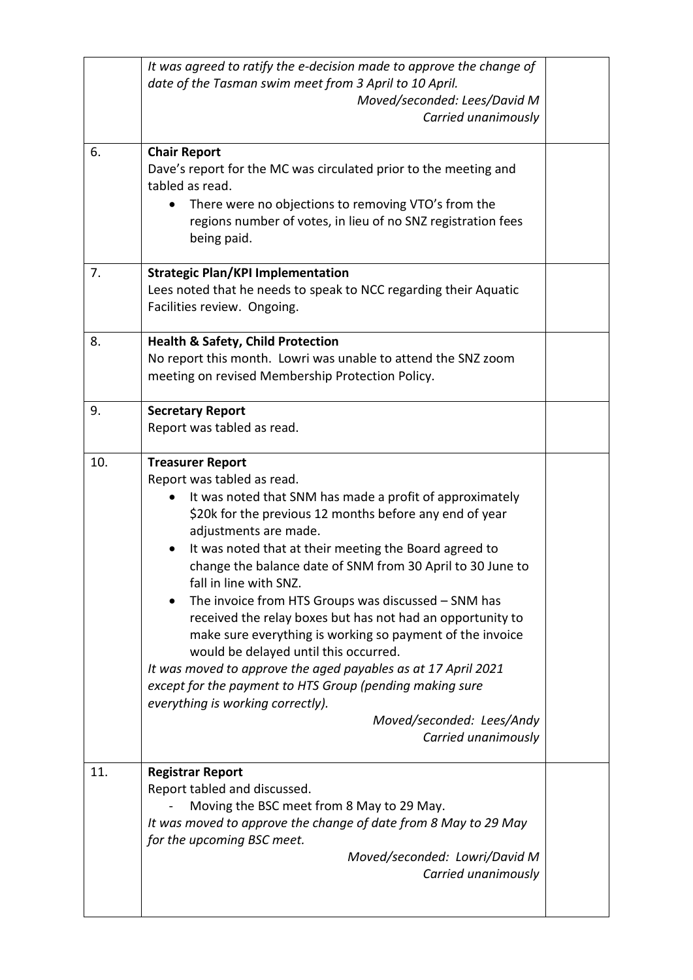|     | It was agreed to ratify the e-decision made to approve the change of<br>date of the Tasman swim meet from 3 April to 10 April.<br>Moved/seconded: Lees/David M<br>Carried unanimously                                                                                                                                                                                                                                                                                                                                                                                                                                                                                                                                                                                                                    |  |
|-----|----------------------------------------------------------------------------------------------------------------------------------------------------------------------------------------------------------------------------------------------------------------------------------------------------------------------------------------------------------------------------------------------------------------------------------------------------------------------------------------------------------------------------------------------------------------------------------------------------------------------------------------------------------------------------------------------------------------------------------------------------------------------------------------------------------|--|
| 6.  | <b>Chair Report</b><br>Dave's report for the MC was circulated prior to the meeting and<br>tabled as read.<br>There were no objections to removing VTO's from the<br>regions number of votes, in lieu of no SNZ registration fees<br>being paid.                                                                                                                                                                                                                                                                                                                                                                                                                                                                                                                                                         |  |
| 7.  | <b>Strategic Plan/KPI Implementation</b><br>Lees noted that he needs to speak to NCC regarding their Aquatic<br>Facilities review. Ongoing.                                                                                                                                                                                                                                                                                                                                                                                                                                                                                                                                                                                                                                                              |  |
| 8.  | <b>Health &amp; Safety, Child Protection</b><br>No report this month. Lowri was unable to attend the SNZ zoom<br>meeting on revised Membership Protection Policy.                                                                                                                                                                                                                                                                                                                                                                                                                                                                                                                                                                                                                                        |  |
| 9.  | <b>Secretary Report</b><br>Report was tabled as read.                                                                                                                                                                                                                                                                                                                                                                                                                                                                                                                                                                                                                                                                                                                                                    |  |
| 10. | <b>Treasurer Report</b><br>Report was tabled as read.<br>It was noted that SNM has made a profit of approximately<br>\$20k for the previous 12 months before any end of year<br>adjustments are made.<br>It was noted that at their meeting the Board agreed to<br>change the balance date of SNM from 30 April to 30 June to<br>fall in line with SNZ.<br>The invoice from HTS Groups was discussed - SNM has<br>received the relay boxes but has not had an opportunity to<br>make sure everything is working so payment of the invoice<br>would be delayed until this occurred.<br>It was moved to approve the aged payables as at 17 April 2021<br>except for the payment to HTS Group (pending making sure<br>everything is working correctly).<br>Moved/seconded: Lees/Andy<br>Carried unanimously |  |
| 11. | <b>Registrar Report</b><br>Report tabled and discussed.<br>Moving the BSC meet from 8 May to 29 May.<br>It was moved to approve the change of date from 8 May to 29 May<br>for the upcoming BSC meet.<br>Moved/seconded: Lowri/David M<br>Carried unanimously                                                                                                                                                                                                                                                                                                                                                                                                                                                                                                                                            |  |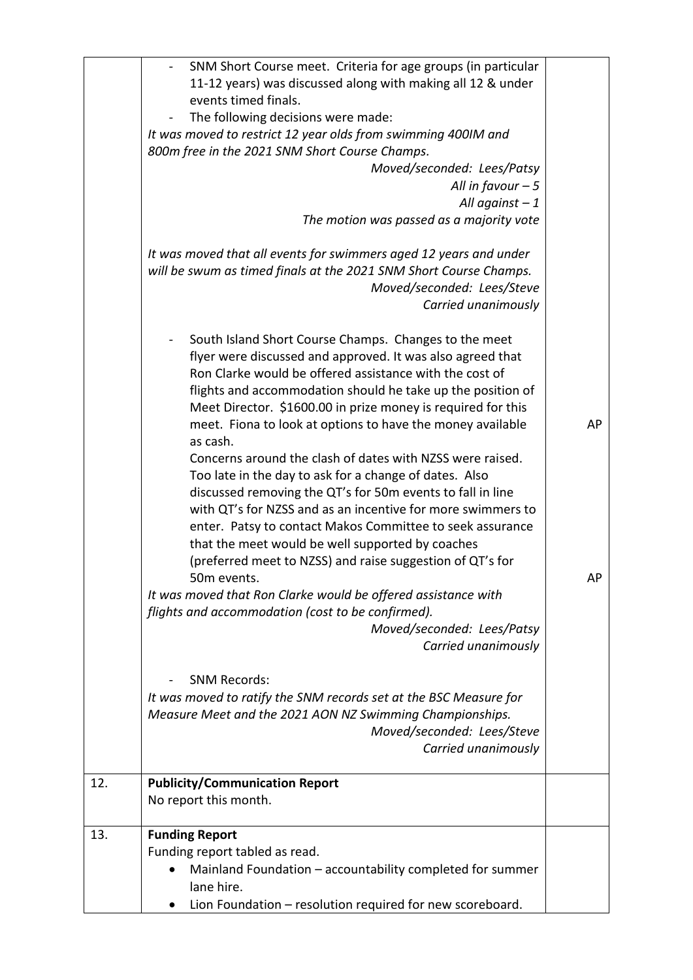|     | SNM Short Course meet. Criteria for age groups (in particular<br>11-12 years) was discussed along with making all 12 & under<br>events timed finals.<br>The following decisions were made:<br>It was moved to restrict 12 year olds from swimming 400IM and<br>800m free in the 2021 SNM Short Course Champs.<br>Moved/seconded: Lees/Patsy<br>All in favour $-5$<br>All against $-1$<br>The motion was passed as a majority vote<br>It was moved that all events for swimmers aged 12 years and under<br>will be swum as timed finals at the 2021 SNM Short Course Champs.<br>Moved/seconded: Lees/Steve<br>Carried unanimously                                                                                                                                                                                                                                                                                                                                                                                    |          |
|-----|---------------------------------------------------------------------------------------------------------------------------------------------------------------------------------------------------------------------------------------------------------------------------------------------------------------------------------------------------------------------------------------------------------------------------------------------------------------------------------------------------------------------------------------------------------------------------------------------------------------------------------------------------------------------------------------------------------------------------------------------------------------------------------------------------------------------------------------------------------------------------------------------------------------------------------------------------------------------------------------------------------------------|----------|
|     | South Island Short Course Champs. Changes to the meet<br>flyer were discussed and approved. It was also agreed that<br>Ron Clarke would be offered assistance with the cost of<br>flights and accommodation should he take up the position of<br>Meet Director. \$1600.00 in prize money is required for this<br>meet. Fiona to look at options to have the money available<br>as cash.<br>Concerns around the clash of dates with NZSS were raised.<br>Too late in the day to ask for a change of dates. Also<br>discussed removing the QT's for 50m events to fall in line<br>with QT's for NZSS and as an incentive for more swimmers to<br>enter. Patsy to contact Makos Committee to seek assurance<br>that the meet would be well supported by coaches<br>(preferred meet to NZSS) and raise suggestion of QT's for<br>50m events.<br>It was moved that Ron Clarke would be offered assistance with<br>flights and accommodation (cost to be confirmed).<br>Moved/seconded: Lees/Patsy<br>Carried unanimously | AP<br>AP |
|     | <b>SNM Records:</b><br>It was moved to ratify the SNM records set at the BSC Measure for<br>Measure Meet and the 2021 AON NZ Swimming Championships.<br>Moved/seconded: Lees/Steve<br>Carried unanimously                                                                                                                                                                                                                                                                                                                                                                                                                                                                                                                                                                                                                                                                                                                                                                                                           |          |
| 12. | <b>Publicity/Communication Report</b><br>No report this month.                                                                                                                                                                                                                                                                                                                                                                                                                                                                                                                                                                                                                                                                                                                                                                                                                                                                                                                                                      |          |
| 13. | <b>Funding Report</b><br>Funding report tabled as read.<br>Mainland Foundation - accountability completed for summer<br>lane hire.<br>Lion Foundation - resolution required for new scoreboard.<br>$\bullet$                                                                                                                                                                                                                                                                                                                                                                                                                                                                                                                                                                                                                                                                                                                                                                                                        |          |